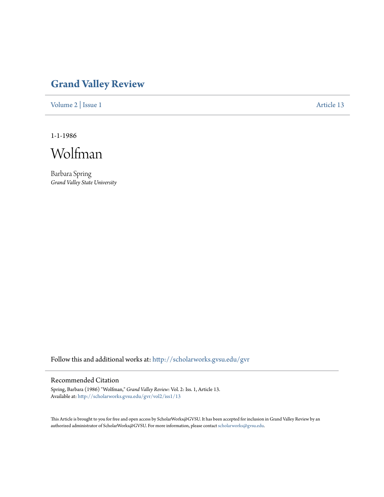## **[Grand Valley Review](http://scholarworks.gvsu.edu/gvr?utm_source=scholarworks.gvsu.edu%2Fgvr%2Fvol2%2Fiss1%2F13&utm_medium=PDF&utm_campaign=PDFCoverPages)**

[Volume 2](http://scholarworks.gvsu.edu/gvr/vol2?utm_source=scholarworks.gvsu.edu%2Fgvr%2Fvol2%2Fiss1%2F13&utm_medium=PDF&utm_campaign=PDFCoverPages) | [Issue 1](http://scholarworks.gvsu.edu/gvr/vol2/iss1?utm_source=scholarworks.gvsu.edu%2Fgvr%2Fvol2%2Fiss1%2F13&utm_medium=PDF&utm_campaign=PDFCoverPages) [Article 13](http://scholarworks.gvsu.edu/gvr/vol2/iss1/13?utm_source=scholarworks.gvsu.edu%2Fgvr%2Fvol2%2Fiss1%2F13&utm_medium=PDF&utm_campaign=PDFCoverPages)

1-1-1986



Barbara Spring *Grand Valley State University*

Follow this and additional works at: [http://scholarworks.gvsu.edu/gvr](http://scholarworks.gvsu.edu/gvr?utm_source=scholarworks.gvsu.edu%2Fgvr%2Fvol2%2Fiss1%2F13&utm_medium=PDF&utm_campaign=PDFCoverPages)

## Recommended Citation

Spring, Barbara (1986) "Wolfman," *Grand Valley Review*: Vol. 2: Iss. 1, Article 13. Available at: [http://scholarworks.gvsu.edu/gvr/vol2/iss1/13](http://scholarworks.gvsu.edu/gvr/vol2/iss1/13?utm_source=scholarworks.gvsu.edu%2Fgvr%2Fvol2%2Fiss1%2F13&utm_medium=PDF&utm_campaign=PDFCoverPages)

This Article is brought to you for free and open access by ScholarWorks@GVSU. It has been accepted for inclusion in Grand Valley Review by an authorized administrator of ScholarWorks@GVSU. For more information, please contact [scholarworks@gvsu.edu.](mailto:scholarworks@gvsu.edu)